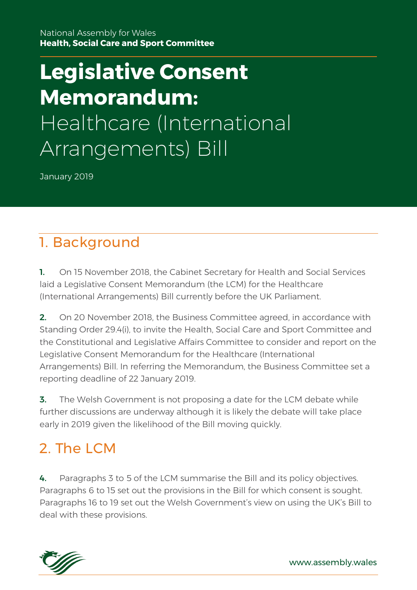National Assembly for Wales **Health, Social Care and Sport Committee**

# **Legislative Consent Memorandum:** Healthcare (International Arrangements) Bill

January 2019

# 1. Background

1. On 15 November 2018, the Cabinet Secretary for Health and Social Services laid a Legislative Consent Memorandum (the LCM) for the Healthcare (International Arrangements) Bill currently before the UK Parliament.

**2.** On 20 November 2018, the Business Committee agreed, in accordance with Standing Order 29.4(i), to invite the Health, Social Care and Sport Committee and the Constitutional and Legislative Affairs Committee to consider and report on the Legislative Consent Memorandum for the Healthcare (International Arrangements) Bill. In referring the Memorandum, the Business Committee set a reporting deadline of 22 January 2019.

**3.** The Welsh Government is not proposing a date for the LCM debate while further discussions are underway although it is likely the debate will take place early in 2019 given the likelihood of the Bill moving quickly.

### 2 The LCM

4. Paragraphs 3 to 5 of the LCM summarise the Bill and its policy objectives. Paragraphs 6 to 15 set out the provisions in the Bill for which consent is sought. Paragraphs 16 to 19 set out the Welsh Government's view on using the UK's Bill to deal with these provisions.

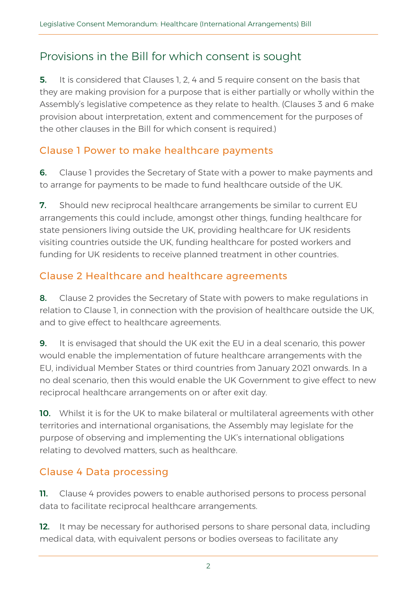### Provisions in the Bill for which consent is sought

**5.** It is considered that Clauses 1, 2, 4 and 5 require consent on the basis that they are making provision for a purpose that is either partially or wholly within the Assembly's legislative competence as they relate to health. (Clauses 3 and 6 make provision about interpretation, extent and commencement for the purposes of the other clauses in the Bill for which consent is required.)

### Clause 1 Power to make healthcare payments

**6.** Clause 1 provides the Secretary of State with a power to make payments and to arrange for payments to be made to fund healthcare outside of the UK.

**7.** Should new reciprocal healthcare arrangements be similar to current EU arrangements this could include, amongst other things, funding healthcare for state pensioners living outside the UK, providing healthcare for UK residents visiting countries outside the UK, funding healthcare for posted workers and funding for UK residents to receive planned treatment in other countries.

### Clause 2 Healthcare and healthcare agreements

8. Clause 2 provides the Secretary of State with powers to make regulations in relation to Clause 1, in connection with the provision of healthcare outside the UK, and to give effect to healthcare agreements.

**9.** It is envisaged that should the UK exit the EU in a deal scenario, this power would enable the implementation of future healthcare arrangements with the EU, individual Member States or third countries from January 2021 onwards. In a no deal scenario, then this would enable the UK Government to give effect to new reciprocal healthcare arrangements on or after exit day.

10. Whilst it is for the UK to make bilateral or multilateral agreements with other territories and international organisations, the Assembly may legislate for the purpose of observing and implementing the UK's international obligations relating to devolved matters, such as healthcare.

### Clause 4 Data processing

**11.** Clause 4 provides powers to enable authorised persons to process personal data to facilitate reciprocal healthcare arrangements.

12. It may be necessary for authorised persons to share personal data, including medical data, with equivalent persons or bodies overseas to facilitate any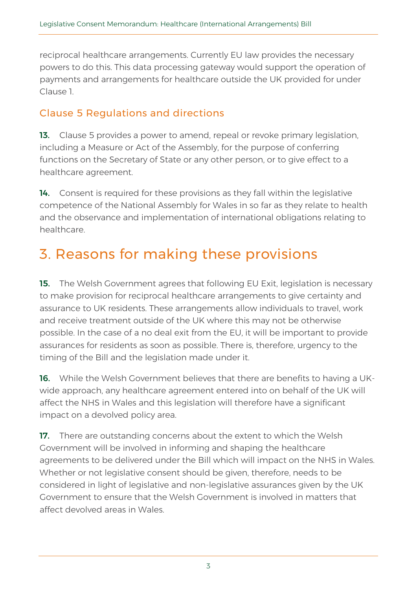reciprocal healthcare arrangements. Currently EU law provides the necessary powers to do this. This data processing gateway would support the operation of payments and arrangements for healthcare outside the UK provided for under Clause 1.

#### Clause 5 Regulations and directions

13. Clause 5 provides a power to amend, repeal or revoke primary legislation, including a Measure or Act of the Assembly, for the purpose of conferring functions on the Secretary of State or any other person, or to give effect to a healthcare agreement.

14. Consent is required for these provisions as they fall within the legislative competence of the National Assembly for Wales in so far as they relate to health and the observance and implementation of international obligations relating to healthcare.

# 3. Reasons for making these provisions

**15.** The Welsh Government agrees that following EU Exit, legislation is necessary to make provision for reciprocal healthcare arrangements to give certainty and assurance to UK residents. These arrangements allow individuals to travel, work and receive treatment outside of the UK where this may not be otherwise possible. In the case of a no deal exit from the EU, it will be important to provide assurances for residents as soon as possible. There is, therefore, urgency to the timing of the Bill and the legislation made under it.

16. While the Welsh Government believes that there are benefits to having a UKwide approach, any healthcare agreement entered into on behalf of the UK will affect the NHS in Wales and this legislation will therefore have a significant impact on a devolved policy area.

17. There are outstanding concerns about the extent to which the Welsh Government will be involved in informing and shaping the healthcare agreements to be delivered under the Bill which will impact on the NHS in Wales. Whether or not legislative consent should be given, therefore, needs to be considered in light of legislative and non-legislative assurances given by the UK Government to ensure that the Welsh Government is involved in matters that affect devolved areas in Wales.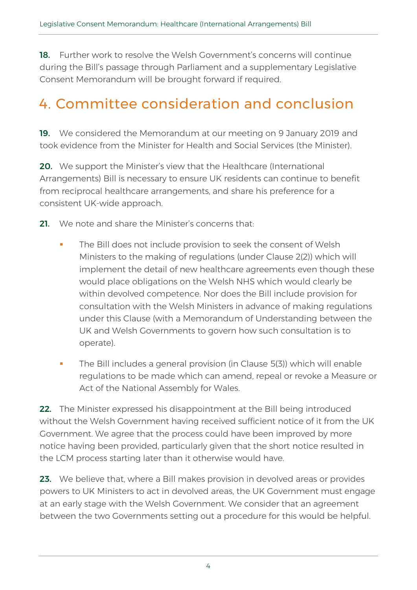18. Further work to resolve the Welsh Government's concerns will continue during the Bill's passage through Parliament and a supplementary Legislative Consent Memorandum will be brought forward if required.

# 4. Committee consideration and conclusion

19. We considered the Memorandum at our meeting on 9 January 2019 and took evidence from the Minister for Health and Social Services (the Minister).

20. We support the Minister's view that the Healthcare (International Arrangements) Bill is necessary to ensure UK residents can continue to benefit from reciprocal healthcare arrangements, and share his preference for a consistent UK-wide approach.

- 21. We note and share the Minister's concerns that
	- The Bill does not include provision to seek the consent of Welsh Ministers to the making of regulations (under Clause 2(2)) which will implement the detail of new healthcare agreements even though these would place obligations on the Welsh NHS which would clearly be within devolved competence. Nor does the Bill include provision for consultation with the Welsh Ministers in advance of making regulations under this Clause (with a Memorandum of Understanding between the UK and Welsh Governments to govern how such consultation is to operate).
	- The Bill includes a general provision (in Clause 5(3)) which will enable regulations to be made which can amend, repeal or revoke a Measure or Act of the National Assembly for Wales.

22. The Minister expressed his disappointment at the Bill being introduced without the Welsh Government having received sufficient notice of it from the UK Government. We agree that the process could have been improved by more notice having been provided, particularly given that the short notice resulted in the LCM process starting later than it otherwise would have.

23. We believe that, where a Bill makes provision in devolved areas or provides powers to UK Ministers to act in devolved areas, the UK Government must engage at an early stage with the Welsh Government. We consider that an agreement between the two Governments setting out a procedure for this would be helpful.